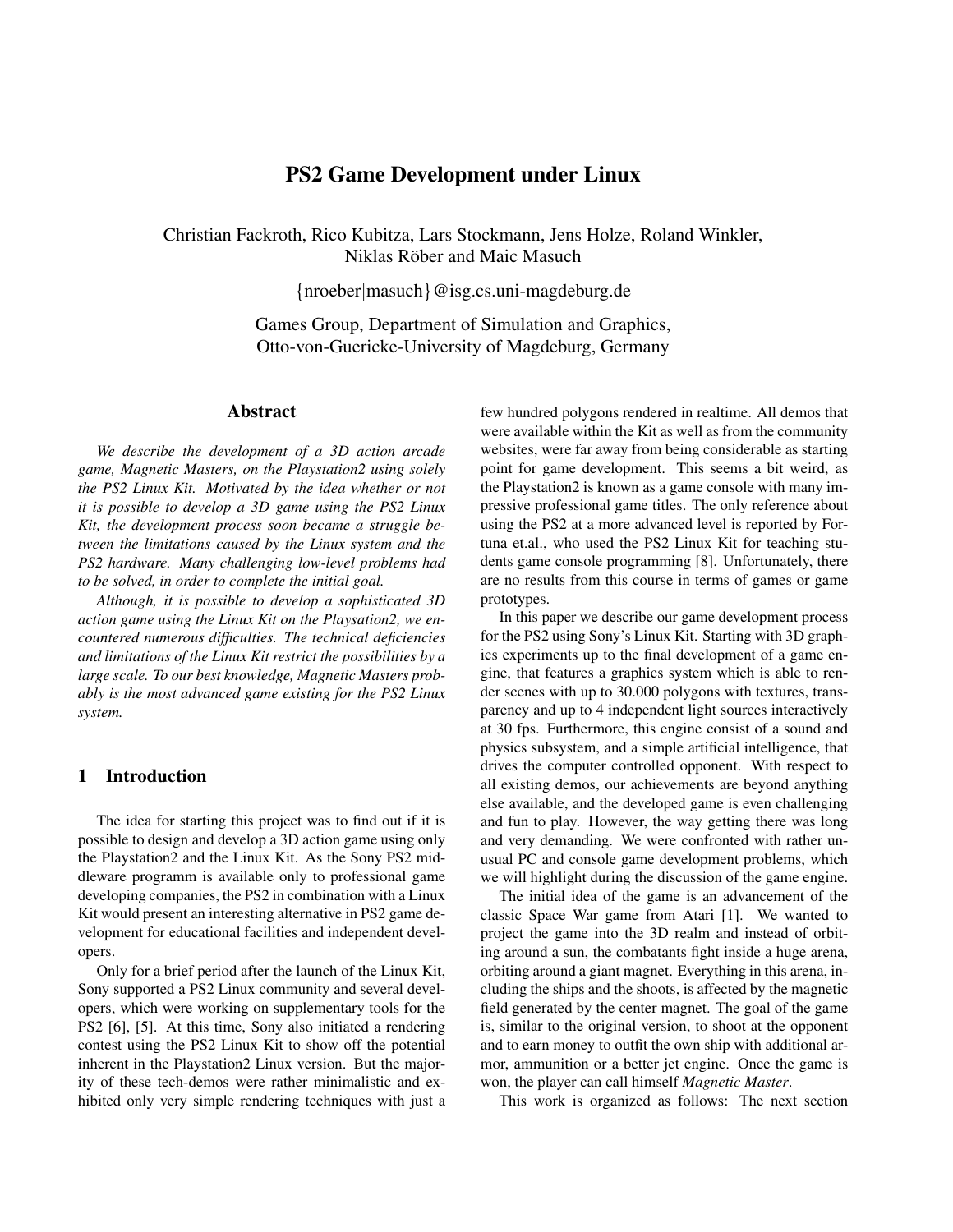# PS2 Game Development under Linux

Christian Fackroth, Rico Kubitza, Lars Stockmann, Jens Holze, Roland Winkler, Niklas Röber and Maic Masuch

{nroeber|masuch}@isg.cs.uni-magdeburg.de

Games Group, Department of Simulation and Graphics, Otto-von-Guericke-University of Magdeburg, Germany

## Abstract

*We describe the development of a 3D action arcade game, Magnetic Masters, on the Playstation2 using solely the PS2 Linux Kit. Motivated by the idea whether or not it is possible to develop a 3D game using the PS2 Linux Kit, the development process soon became a struggle between the limitations caused by the Linux system and the PS2 hardware. Many challenging low-level problems had to be solved, in order to complete the initial goal.*

*Although, it is possible to develop a sophisticated 3D action game using the Linux Kit on the Playsation2, we encountered numerous difficulties. The technical deficiencies and limitations of the Linux Kit restrict the possibilities by a large scale. To our best knowledge, Magnetic Masters probably is the most advanced game existing for the PS2 Linux system.*

## 1 Introduction

The idea for starting this project was to find out if it is possible to design and develop a 3D action game using only the Playstation2 and the Linux Kit. As the Sony PS2 middleware programm is available only to professional game developing companies, the PS2 in combination with a Linux Kit would present an interesting alternative in PS2 game development for educational facilities and independent developers.

Only for a brief period after the launch of the Linux Kit, Sony supported a PS2 Linux community and several developers, which were working on supplementary tools for the PS2 [6], [5]. At this time, Sony also initiated a rendering contest using the PS2 Linux Kit to show off the potential inherent in the Playstation2 Linux version. But the majority of these tech-demos were rather minimalistic and exhibited only very simple rendering techniques with just a few hundred polygons rendered in realtime. All demos that were available within the Kit as well as from the community websites, were far away from being considerable as starting point for game development. This seems a bit weird, as the Playstation2 is known as a game console with many impressive professional game titles. The only reference about using the PS2 at a more advanced level is reported by Fortuna et.al., who used the PS2 Linux Kit for teaching students game console programming [8]. Unfortunately, there are no results from this course in terms of games or game prototypes.

In this paper we describe our game development process for the PS2 using Sony's Linux Kit. Starting with 3D graphics experiments up to the final development of a game engine, that features a graphics system which is able to render scenes with up to 30.000 polygons with textures, transparency and up to 4 independent light sources interactively at 30 fps. Furthermore, this engine consist of a sound and physics subsystem, and a simple artificial intelligence, that drives the computer controlled opponent. With respect to all existing demos, our achievements are beyond anything else available, and the developed game is even challenging and fun to play. However, the way getting there was long and very demanding. We were confronted with rather unusual PC and console game development problems, which we will highlight during the discussion of the game engine.

The initial idea of the game is an advancement of the classic Space War game from Atari [1]. We wanted to project the game into the 3D realm and instead of orbiting around a sun, the combatants fight inside a huge arena, orbiting around a giant magnet. Everything in this arena, including the ships and the shoots, is affected by the magnetic field generated by the center magnet. The goal of the game is, similar to the original version, to shoot at the opponent and to earn money to outfit the own ship with additional armor, ammunition or a better jet engine. Once the game is won, the player can call himself *Magnetic Master*.

This work is organized as follows: The next section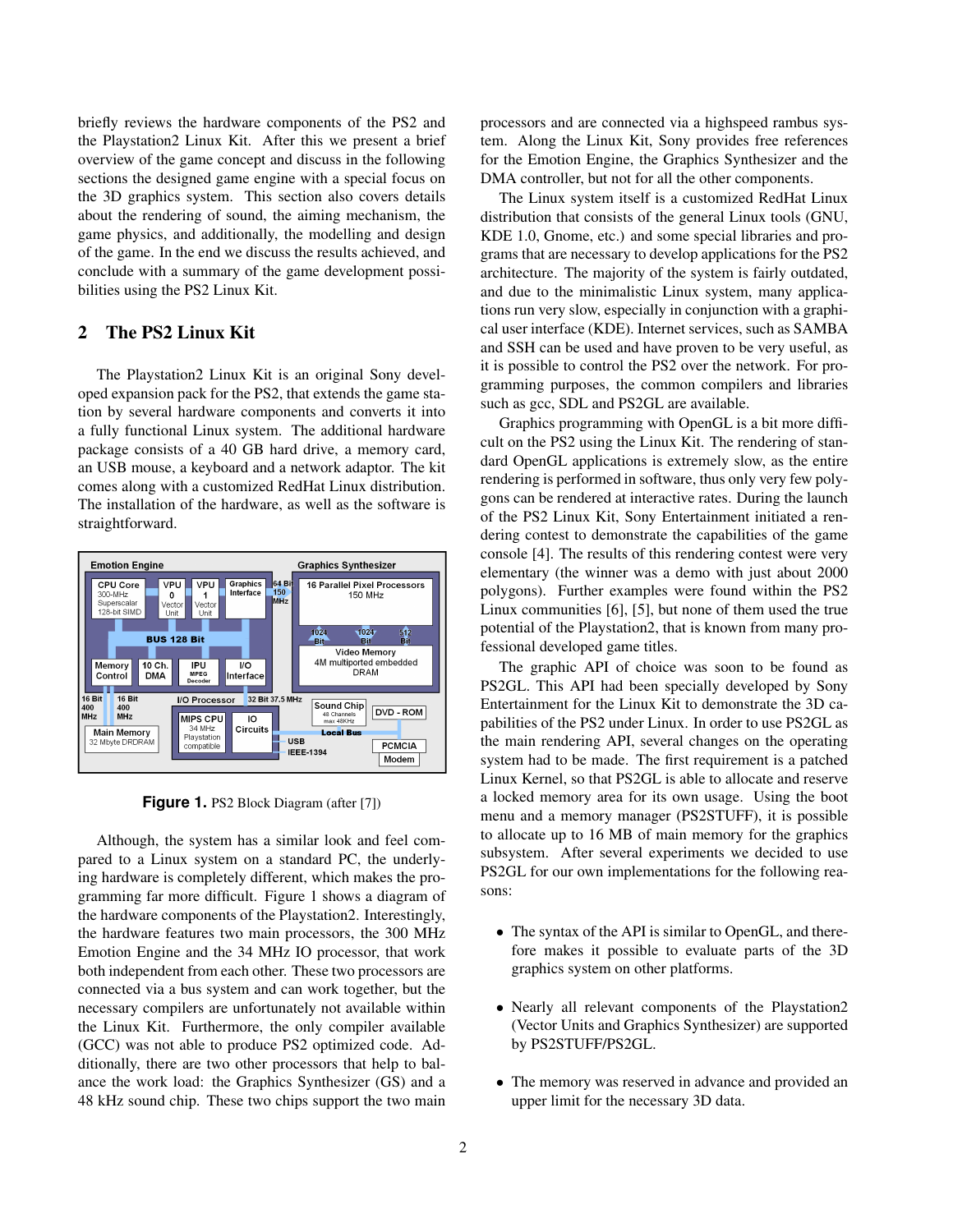briefly reviews the hardware components of the PS2 and the Playstation2 Linux Kit. After this we present a brief overview of the game concept and discuss in the following sections the designed game engine with a special focus on the 3D graphics system. This section also covers details about the rendering of sound, the aiming mechanism, the game physics, and additionally, the modelling and design of the game. In the end we discuss the results achieved, and conclude with a summary of the game development possibilities using the PS2 Linux Kit.

## 2 The PS2 Linux Kit

The Playstation2 Linux Kit is an original Sony developed expansion pack for the PS2, that extends the game station by several hardware components and converts it into a fully functional Linux system. The additional hardware package consists of a 40 GB hard drive, a memory card, an USB mouse, a keyboard and a network adaptor. The kit comes along with a customized RedHat Linux distribution. The installation of the hardware, as well as the software is straightforward.



**Figure 1.** PS2 Block Diagram (after [7])

Although, the system has a similar look and feel compared to a Linux system on a standard PC, the underlying hardware is completely different, which makes the programming far more difficult. Figure 1 shows a diagram of the hardware components of the Playstation2. Interestingly, the hardware features two main processors, the 300 MHz Emotion Engine and the 34 MHz IO processor, that work both independent from each other. These two processors are connected via a bus system and can work together, but the necessary compilers are unfortunately not available within the Linux Kit. Furthermore, the only compiler available (GCC) was not able to produce PS2 optimized code. Additionally, there are two other processors that help to balance the work load: the Graphics Synthesizer (GS) and a 48 kHz sound chip. These two chips support the two main

processors and are connected via a highspeed rambus system. Along the Linux Kit, Sony provides free references for the Emotion Engine, the Graphics Synthesizer and the DMA controller, but not for all the other components.

The Linux system itself is a customized RedHat Linux distribution that consists of the general Linux tools (GNU, KDE 1.0, Gnome, etc.) and some special libraries and programs that are necessary to develop applications for the PS2 architecture. The majority of the system is fairly outdated, and due to the minimalistic Linux system, many applications run very slow, especially in conjunction with a graphical user interface (KDE). Internet services, such as SAMBA and SSH can be used and have proven to be very useful, as it is possible to control the PS2 over the network. For programming purposes, the common compilers and libraries such as gcc, SDL and PS2GL are available.

Graphics programming with OpenGL is a bit more difficult on the PS2 using the Linux Kit. The rendering of standard OpenGL applications is extremely slow, as the entire rendering is performed in software, thus only very few polygons can be rendered at interactive rates. During the launch of the PS2 Linux Kit, Sony Entertainment initiated a rendering contest to demonstrate the capabilities of the game console [4]. The results of this rendering contest were very elementary (the winner was a demo with just about 2000 polygons). Further examples were found within the PS2 Linux communities [6], [5], but none of them used the true potential of the Playstation2, that is known from many professional developed game titles.

The graphic API of choice was soon to be found as PS2GL. This API had been specially developed by Sony Entertainment for the Linux Kit to demonstrate the 3D capabilities of the PS2 under Linux. In order to use PS2GL as the main rendering API, several changes on the operating system had to be made. The first requirement is a patched Linux Kernel, so that PS2GL is able to allocate and reserve a locked memory area for its own usage. Using the boot menu and a memory manager (PS2STUFF), it is possible to allocate up to 16 MB of main memory for the graphics subsystem. After several experiments we decided to use PS2GL for our own implementations for the following reasons:

- The syntax of the API is similar to OpenGL, and therefore makes it possible to evaluate parts of the 3D graphics system on other platforms.
- Nearly all relevant components of the Playstation2 (Vector Units and Graphics Synthesizer) are supported by PS2STUFF/PS2GL.
- The memory was reserved in advance and provided an upper limit for the necessary 3D data.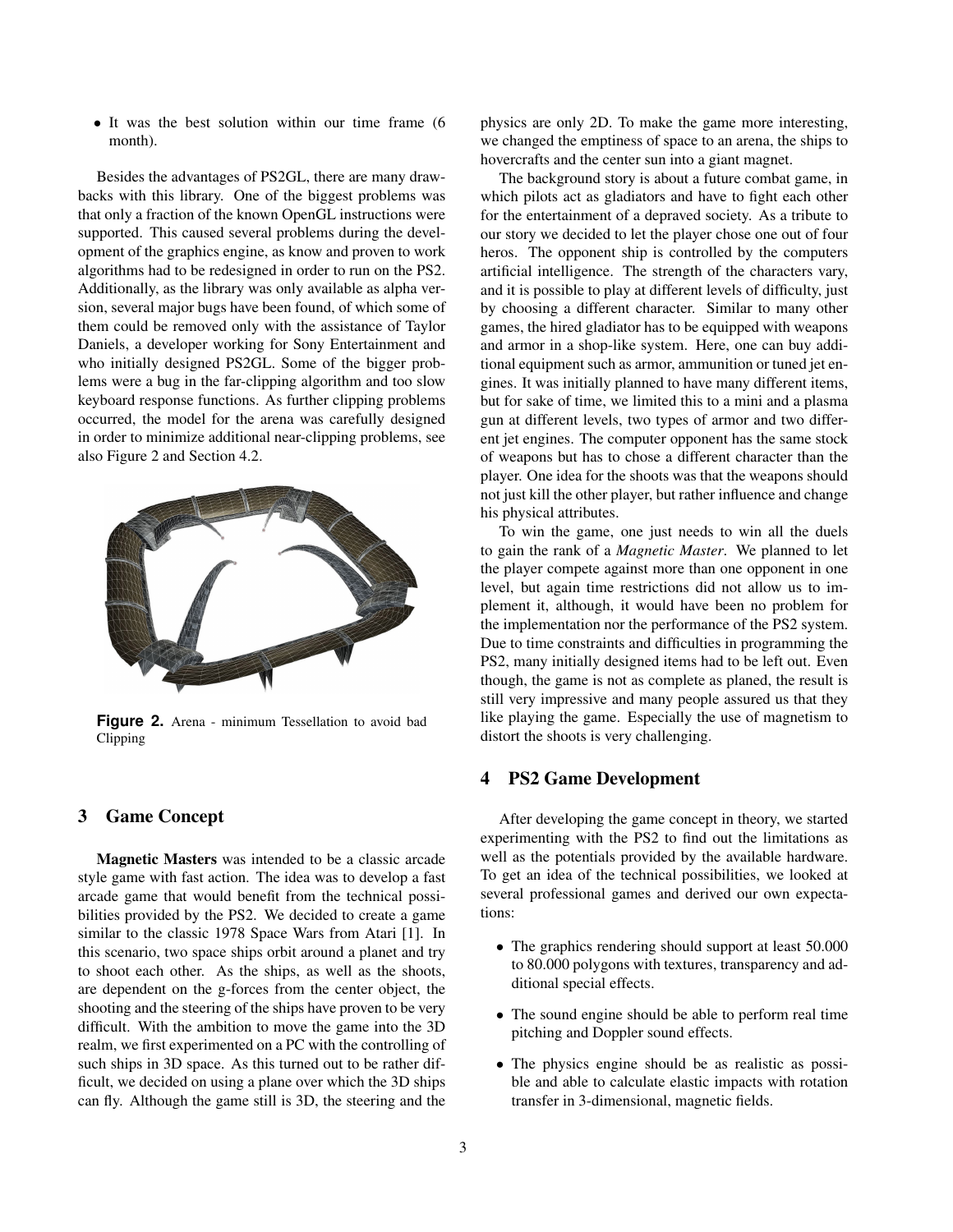• It was the best solution within our time frame (6) month).

Besides the advantages of PS2GL, there are many drawbacks with this library. One of the biggest problems was that only a fraction of the known OpenGL instructions were supported. This caused several problems during the development of the graphics engine, as know and proven to work algorithms had to be redesigned in order to run on the PS2. Additionally, as the library was only available as alpha version, several major bugs have been found, of which some of them could be removed only with the assistance of Taylor Daniels, a developer working for Sony Entertainment and who initially designed PS2GL. Some of the bigger problems were a bug in the far-clipping algorithm and too slow keyboard response functions. As further clipping problems occurred, the model for the arena was carefully designed in order to minimize additional near-clipping problems, see also Figure 2 and Section 4.2.



**Figure 2.** Arena - minimum Tessellation to avoid bad Clipping

## 3 Game Concept

Magnetic Masters was intended to be a classic arcade style game with fast action. The idea was to develop a fast arcade game that would benefit from the technical possibilities provided by the PS2. We decided to create a game similar to the classic 1978 Space Wars from Atari [1]. In this scenario, two space ships orbit around a planet and try to shoot each other. As the ships, as well as the shoots, are dependent on the g-forces from the center object, the shooting and the steering of the ships have proven to be very difficult. With the ambition to move the game into the 3D realm, we first experimented on a PC with the controlling of such ships in 3D space. As this turned out to be rather difficult, we decided on using a plane over which the 3D ships can fly. Although the game still is 3D, the steering and the physics are only 2D. To make the game more interesting, we changed the emptiness of space to an arena, the ships to hovercrafts and the center sun into a giant magnet.

The background story is about a future combat game, in which pilots act as gladiators and have to fight each other for the entertainment of a depraved society. As a tribute to our story we decided to let the player chose one out of four heros. The opponent ship is controlled by the computers artificial intelligence. The strength of the characters vary, and it is possible to play at different levels of difficulty, just by choosing a different character. Similar to many other games, the hired gladiator has to be equipped with weapons and armor in a shop-like system. Here, one can buy additional equipment such as armor, ammunition or tuned jet engines. It was initially planned to have many different items, but for sake of time, we limited this to a mini and a plasma gun at different levels, two types of armor and two different jet engines. The computer opponent has the same stock of weapons but has to chose a different character than the player. One idea for the shoots was that the weapons should not just kill the other player, but rather influence and change his physical attributes.

To win the game, one just needs to win all the duels to gain the rank of a *Magnetic Master*. We planned to let the player compete against more than one opponent in one level, but again time restrictions did not allow us to implement it, although, it would have been no problem for the implementation nor the performance of the PS2 system. Due to time constraints and difficulties in programming the PS2, many initially designed items had to be left out. Even though, the game is not as complete as planed, the result is still very impressive and many people assured us that they like playing the game. Especially the use of magnetism to distort the shoots is very challenging.

## 4 PS2 Game Development

After developing the game concept in theory, we started experimenting with the PS2 to find out the limitations as well as the potentials provided by the available hardware. To get an idea of the technical possibilities, we looked at several professional games and derived our own expectations:

- The graphics rendering should support at least 50.000 to 80.000 polygons with textures, transparency and additional special effects.
- The sound engine should be able to perform real time pitching and Doppler sound effects.
- The physics engine should be as realistic as possible and able to calculate elastic impacts with rotation transfer in 3-dimensional, magnetic fields.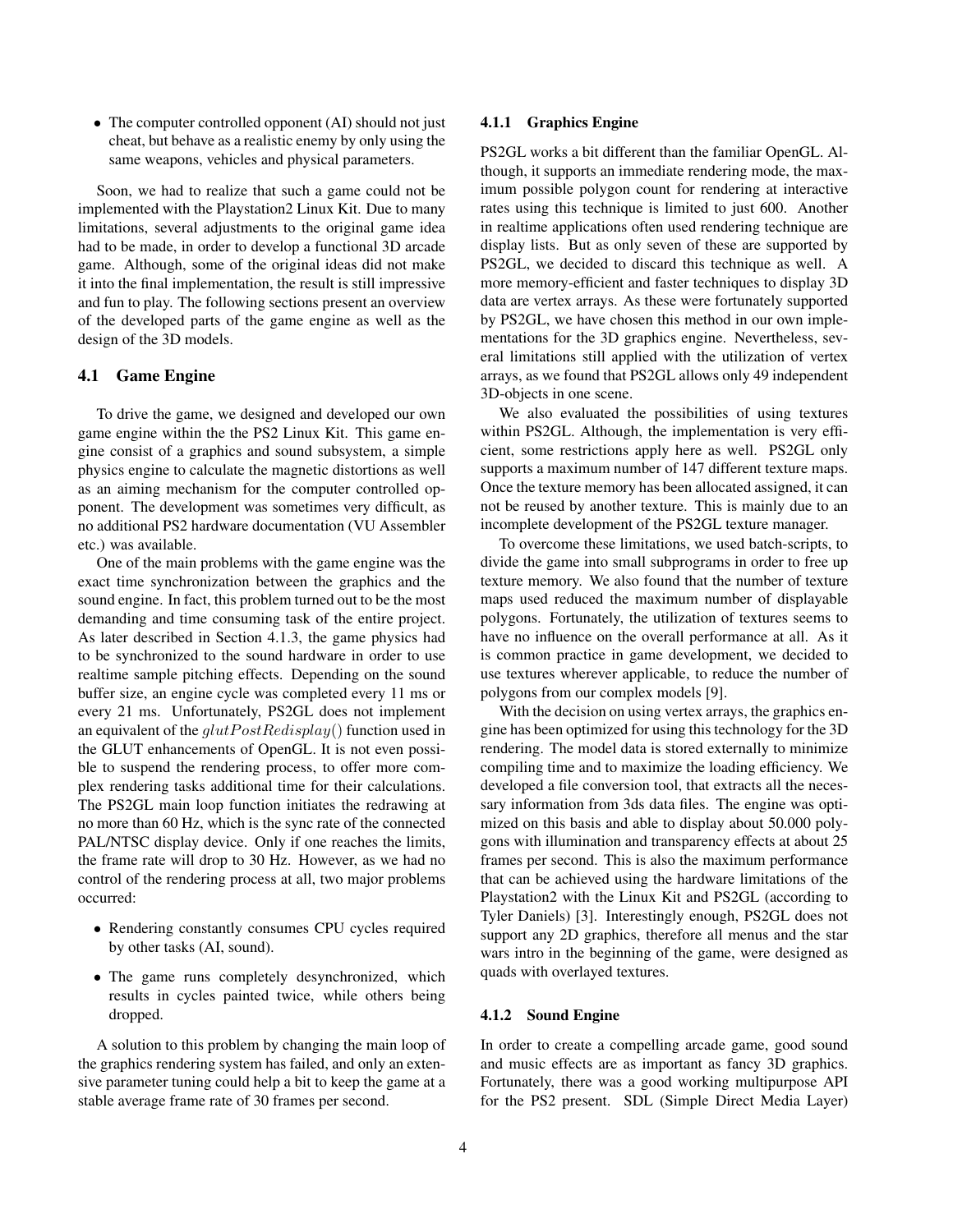• The computer controlled opponent (AI) should not just cheat, but behave as a realistic enemy by only using the same weapons, vehicles and physical parameters.

Soon, we had to realize that such a game could not be implemented with the Playstation2 Linux Kit. Due to many limitations, several adjustments to the original game idea had to be made, in order to develop a functional 3D arcade game. Although, some of the original ideas did not make it into the final implementation, the result is still impressive and fun to play. The following sections present an overview of the developed parts of the game engine as well as the design of the 3D models.

### 4.1 Game Engine

To drive the game, we designed and developed our own game engine within the the PS2 Linux Kit. This game engine consist of a graphics and sound subsystem, a simple physics engine to calculate the magnetic distortions as well as an aiming mechanism for the computer controlled opponent. The development was sometimes very difficult, as no additional PS2 hardware documentation (VU Assembler etc.) was available.

One of the main problems with the game engine was the exact time synchronization between the graphics and the sound engine. In fact, this problem turned out to be the most demanding and time consuming task of the entire project. As later described in Section 4.1.3, the game physics had to be synchronized to the sound hardware in order to use realtime sample pitching effects. Depending on the sound buffer size, an engine cycle was completed every 11 ms or every 21 ms. Unfortunately, PS2GL does not implement an equivalent of the  $glutPostRedisplay()$  function used in the GLUT enhancements of OpenGL. It is not even possible to suspend the rendering process, to offer more complex rendering tasks additional time for their calculations. The PS2GL main loop function initiates the redrawing at no more than 60 Hz, which is the sync rate of the connected PAL/NTSC display device. Only if one reaches the limits, the frame rate will drop to 30 Hz. However, as we had no control of the rendering process at all, two major problems occurred:

- Rendering constantly consumes CPU cycles required by other tasks (AI, sound).
- The game runs completely desynchronized, which results in cycles painted twice, while others being dropped.

A solution to this problem by changing the main loop of the graphics rendering system has failed, and only an extensive parameter tuning could help a bit to keep the game at a stable average frame rate of 30 frames per second.

#### 4.1.1 Graphics Engine

PS2GL works a bit different than the familiar OpenGL. Although, it supports an immediate rendering mode, the maximum possible polygon count for rendering at interactive rates using this technique is limited to just 600. Another in realtime applications often used rendering technique are display lists. But as only seven of these are supported by PS2GL, we decided to discard this technique as well. A more memory-efficient and faster techniques to display 3D data are vertex arrays. As these were fortunately supported by PS2GL, we have chosen this method in our own implementations for the 3D graphics engine. Nevertheless, several limitations still applied with the utilization of vertex arrays, as we found that PS2GL allows only 49 independent 3D-objects in one scene.

We also evaluated the possibilities of using textures within PS2GL. Although, the implementation is very efficient, some restrictions apply here as well. PS2GL only supports a maximum number of 147 different texture maps. Once the texture memory has been allocated assigned, it can not be reused by another texture. This is mainly due to an incomplete development of the PS2GL texture manager.

To overcome these limitations, we used batch-scripts, to divide the game into small subprograms in order to free up texture memory. We also found that the number of texture maps used reduced the maximum number of displayable polygons. Fortunately, the utilization of textures seems to have no influence on the overall performance at all. As it is common practice in game development, we decided to use textures wherever applicable, to reduce the number of polygons from our complex models [9].

With the decision on using vertex arrays, the graphics engine has been optimized for using this technology for the 3D rendering. The model data is stored externally to minimize compiling time and to maximize the loading efficiency. We developed a file conversion tool, that extracts all the necessary information from 3ds data files. The engine was optimized on this basis and able to display about 50.000 polygons with illumination and transparency effects at about 25 frames per second. This is also the maximum performance that can be achieved using the hardware limitations of the Playstation2 with the Linux Kit and PS2GL (according to Tyler Daniels) [3]. Interestingly enough, PS2GL does not support any 2D graphics, therefore all menus and the star wars intro in the beginning of the game, were designed as quads with overlayed textures.

#### 4.1.2 Sound Engine

In order to create a compelling arcade game, good sound and music effects are as important as fancy 3D graphics. Fortunately, there was a good working multipurpose API for the PS2 present. SDL (Simple Direct Media Layer)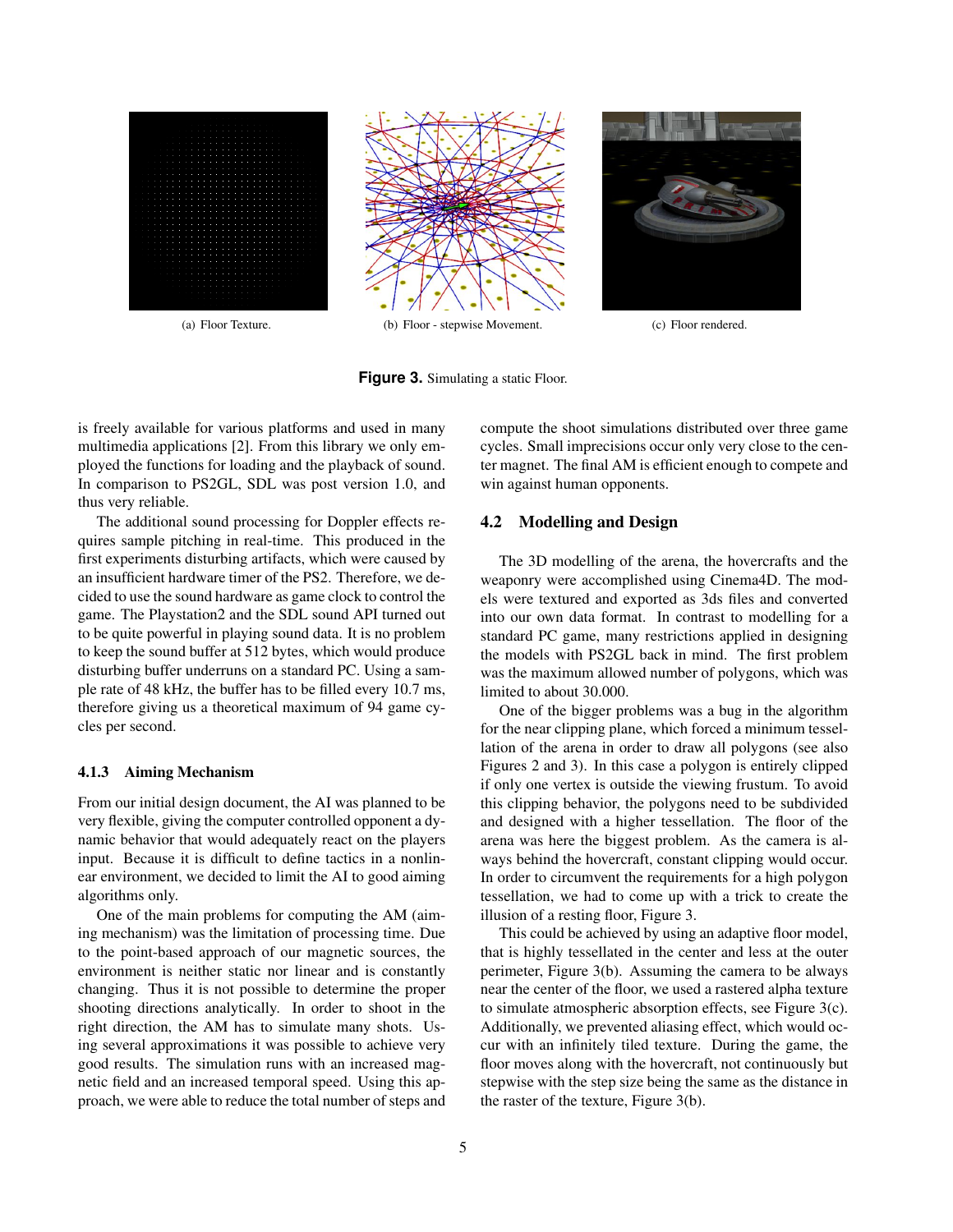

**Figure 3.** Simulating a static Floor.

is freely available for various platforms and used in many multimedia applications [2]. From this library we only employed the functions for loading and the playback of sound. In comparison to PS2GL, SDL was post version 1.0, and thus very reliable.

The additional sound processing for Doppler effects requires sample pitching in real-time. This produced in the first experiments disturbing artifacts, which were caused by an insufficient hardware timer of the PS2. Therefore, we decided to use the sound hardware as game clock to control the game. The Playstation2 and the SDL sound API turned out to be quite powerful in playing sound data. It is no problem to keep the sound buffer at 512 bytes, which would produce disturbing buffer underruns on a standard PC. Using a sample rate of 48 kHz, the buffer has to be filled every 10.7 ms, therefore giving us a theoretical maximum of 94 game cycles per second.

### 4.1.3 Aiming Mechanism

From our initial design document, the AI was planned to be very flexible, giving the computer controlled opponent a dynamic behavior that would adequately react on the players input. Because it is difficult to define tactics in a nonlinear environment, we decided to limit the AI to good aiming algorithms only.

One of the main problems for computing the AM (aiming mechanism) was the limitation of processing time. Due to the point-based approach of our magnetic sources, the environment is neither static nor linear and is constantly changing. Thus it is not possible to determine the proper shooting directions analytically. In order to shoot in the right direction, the AM has to simulate many shots. Using several approximations it was possible to achieve very good results. The simulation runs with an increased magnetic field and an increased temporal speed. Using this approach, we were able to reduce the total number of steps and compute the shoot simulations distributed over three game cycles. Small imprecisions occur only very close to the center magnet. The final AM is efficient enough to compete and win against human opponents.

## 4.2 Modelling and Design

The 3D modelling of the arena, the hovercrafts and the weaponry were accomplished using Cinema4D. The models were textured and exported as 3ds files and converted into our own data format. In contrast to modelling for a standard PC game, many restrictions applied in designing the models with PS2GL back in mind. The first problem was the maximum allowed number of polygons, which was limited to about 30.000.

One of the bigger problems was a bug in the algorithm for the near clipping plane, which forced a minimum tessellation of the arena in order to draw all polygons (see also Figures 2 and 3). In this case a polygon is entirely clipped if only one vertex is outside the viewing frustum. To avoid this clipping behavior, the polygons need to be subdivided and designed with a higher tessellation. The floor of the arena was here the biggest problem. As the camera is always behind the hovercraft, constant clipping would occur. In order to circumvent the requirements for a high polygon tessellation, we had to come up with a trick to create the illusion of a resting floor, Figure 3.

This could be achieved by using an adaptive floor model, that is highly tessellated in the center and less at the outer perimeter, Figure 3(b). Assuming the camera to be always near the center of the floor, we used a rastered alpha texture to simulate atmospheric absorption effects, see Figure 3(c). Additionally, we prevented aliasing effect, which would occur with an infinitely tiled texture. During the game, the floor moves along with the hovercraft, not continuously but stepwise with the step size being the same as the distance in the raster of the texture, Figure 3(b).